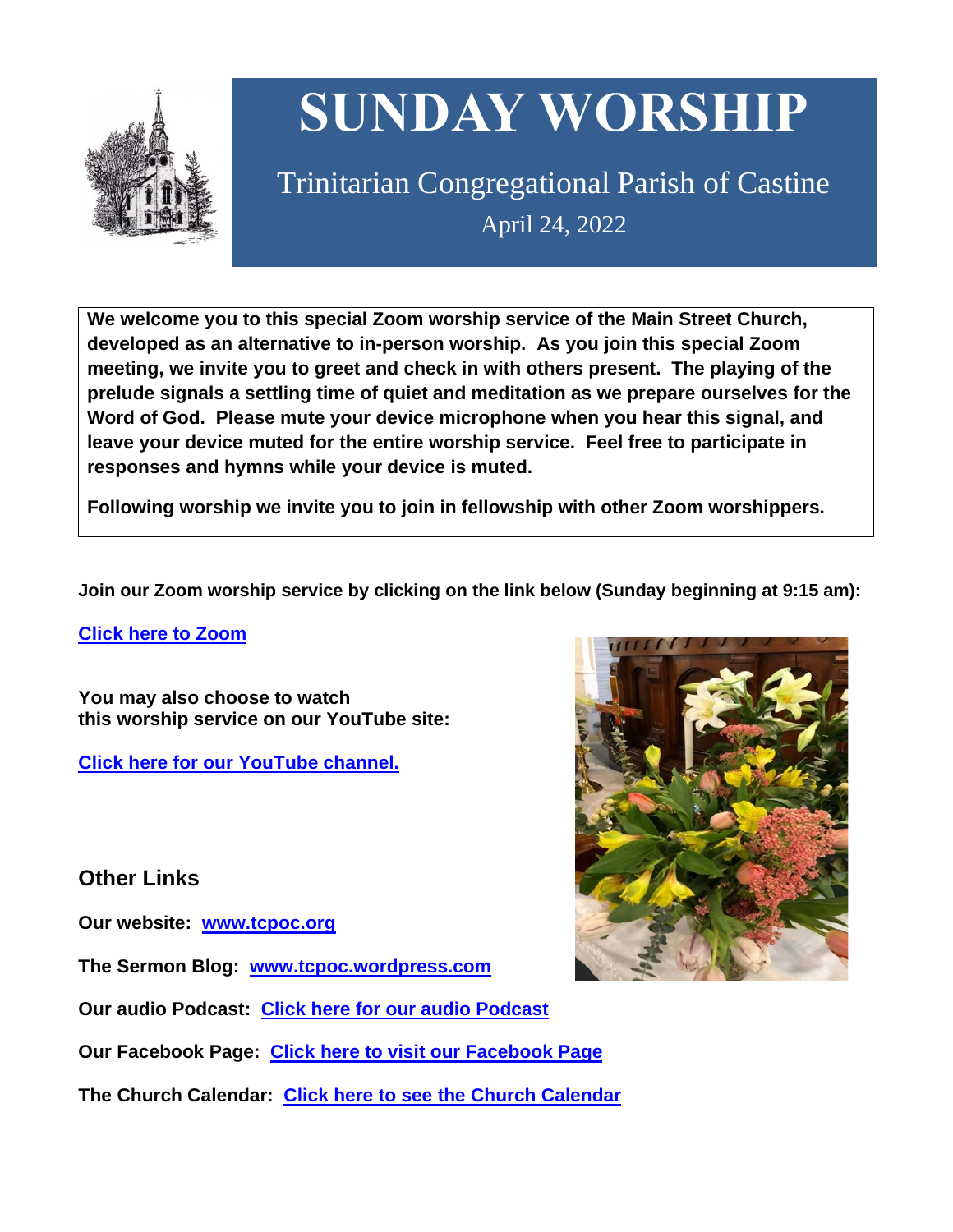

# **SUNDAY WORSHIP**

Trinitarian Congregational Parish of Castine April 24, 2022

**We welcome you to this special Zoom worship service of the Main Street Church, developed as an alternative to in-person worship. As you join this special Zoom meeting, we invite you to greet and check in with others present. The playing of the prelude signals a settling time of quiet and meditation as we prepare ourselves for the Word of God. Please mute your device microphone when you hear this signal, and leave your device muted for the entire worship service. Feel free to participate in responses and hymns while your device is muted.**

**Following worship we invite you to join in fellowship with other Zoom worshippers.**

**Join our Zoom worship service by clicking on the link below (Sunday beginning at 9:15 am):**

**Click here to [Zoom](https://us02web.zoom.us/j/89573448511?pwd=MFRuSFBJR2NWL015RzlyZ1UycmROQT09)**

**You may also choose to watch this worship service on our YouTube site:**

**Click here for our [YouTube](https://www.youtube.com/channel/UC4Bu-O6pN-bdPOqVNg0fBxA) channel.**

**Other Links**

**Our website: [www.tcpoc.org](http://www.tcpoc.org/)**

**The Sermon Blog: [www.tcpoc.wordpress.com](http://www.tcpoc.wordpress.com/)**

**Our audio Podcast: Click here for our audio [Podcast](https://podpoint.com/trinitarian-congregational-parish-of-castine-podcast)**

**Our Facebook Page: Click here to visit our [Facebook](https://www.facebook.com/tcpoc) Page**

**The Church Calendar: Click here to see the Church [Calendar](http://www.tcpoc.org/calendar.html)**

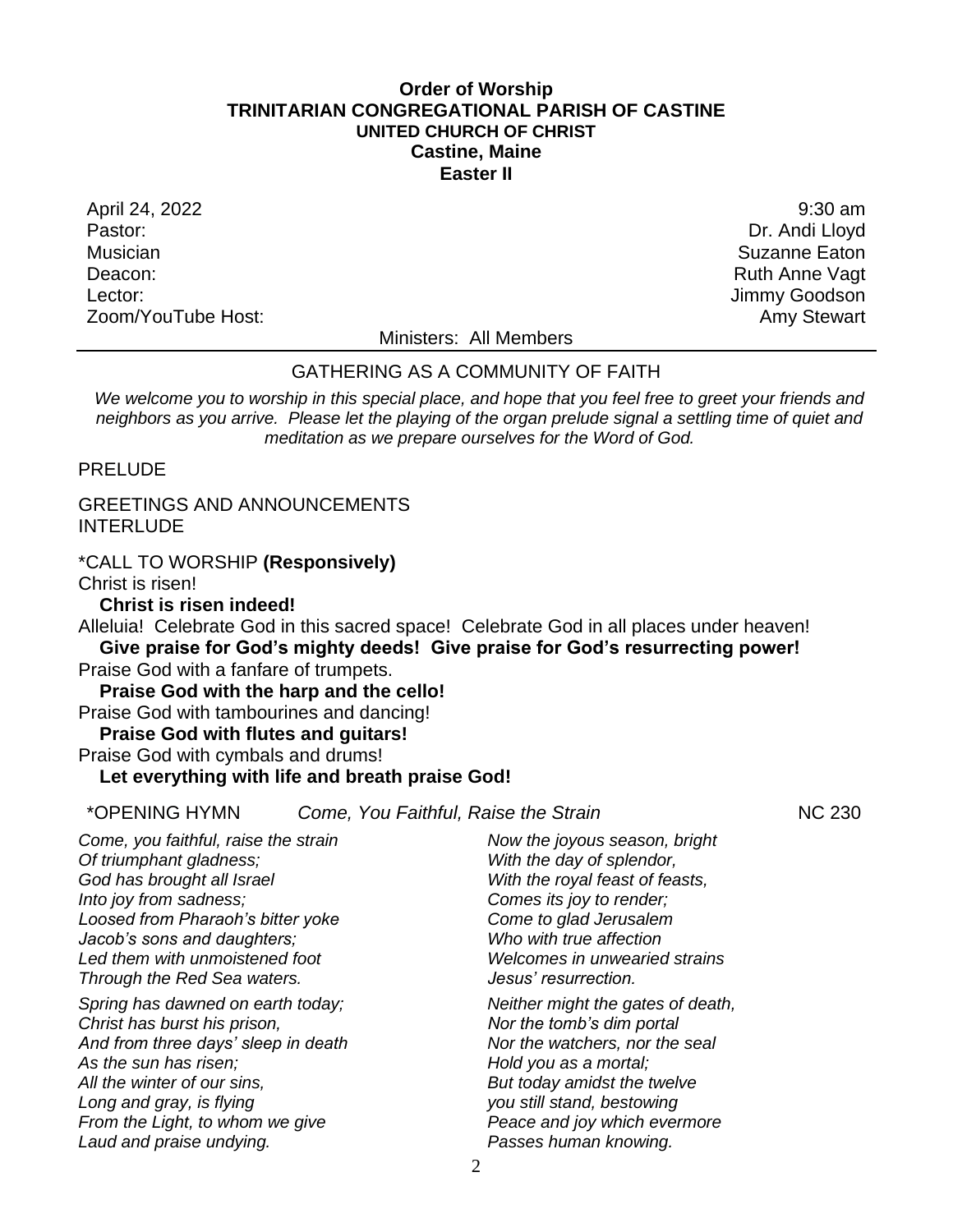### **Order of Worship TRINITARIAN CONGREGATIONAL PARISH OF CASTINE UNITED CHURCH OF CHRIST Castine, Maine Easter II**

April 24, 2022 9:30 am Pastor: Dr. Andi Lloyd Musician **Suzanne Eaton** Suzanne Eaton Deacon: Ruth Anne Vagt Lector: Jimmy Goodson Zoom/YouTube Host: Amy Stewart Communication and Amy Stewart

Ministers: All Members

### GATHERING AS A COMMUNITY OF FAITH

*We welcome you to worship in this special place, and hope that you feel free to greet your friends and neighbors as you arrive. Please let the playing of the organ prelude signal a settling time of quiet and meditation as we prepare ourselves for the Word of God.*

PRELUDE

GREETINGS AND ANNOUNCEMENTS INTERLUDE

\*CALL TO WORSHIP **(Responsively)** Christ is risen!

**Christ is risen indeed!**

Alleluia! Celebrate God in this sacred space! Celebrate God in all places under heaven! **Give praise for God's mighty deeds! Give praise for God's resurrecting power!**

Praise God with a fanfare of trumpets.

**Praise God with the harp and the cello!**

Praise God with tambourines and dancing!

**Praise God with flutes and guitars!** Praise God with cymbals and drums! **Let everything with life and breath praise God!**

\*OPENING HYMN *Come, You Faithful, Raise the Strain* NC 230

*Come, you faithful, raise the strain Of triumphant gladness; God has brought all Israel Into joy from sadness; Loosed from Pharaoh's bitter yoke Jacob's sons and daughters; Led them with unmoistened foot Through the Red Sea waters.*

*Spring has dawned on earth today; Christ has burst his prison, And from three days' sleep in death As the sun has risen; All the winter of our sins, Long and gray, is flying From the Light, to whom we give Laud and praise undying.*

*Now the joyous season, bright With the day of splendor, With the royal feast of feasts, Comes its joy to render; Come to glad Jerusalem Who with true affection Welcomes in unwearied strains Jesus' resurrection. Neither might the gates of death, Nor the tomb's dim portal*

*Nor the watchers, nor the seal Hold you as a mortal; But today amidst the twelve you still stand, bestowing Peace and joy which evermore Passes human knowing.*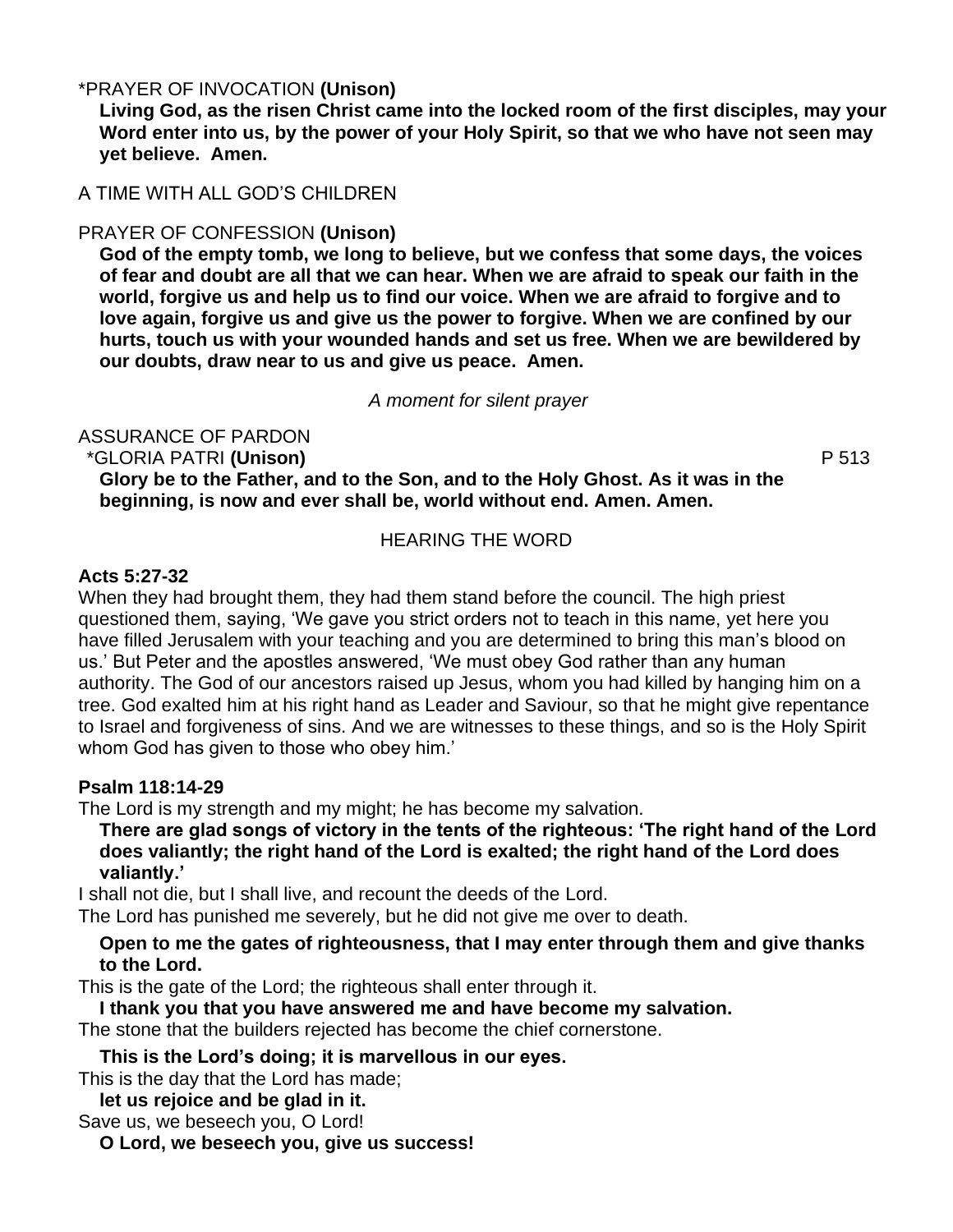# \*PRAYER OF INVOCATION **(Unison)**

**Living God, as the risen Christ came into the locked room of the first disciples, may your Word enter into us, by the power of your Holy Spirit, so that we who have not seen may yet believe. Amen.**

# A TIME WITH ALL GOD'S CHILDREN

### PRAYER OF CONFESSION **(Unison)**

**God of the empty tomb, we long to believe, but we confess that some days, the voices of fear and doubt are all that we can hear. When we are afraid to speak our faith in the world, forgive us and help us to find our voice. When we are afraid to forgive and to love again, forgive us and give us the power to forgive. When we are confined by our hurts, touch us with your wounded hands and set us free. When we are bewildered by our doubts, draw near to us and give us peace. Amen.**

### *A moment for silent prayer*

ASSURANCE OF PARDON

\*GLORIA PATRI **(Unison)** P 513

**Glory be to the Father, and to the Son, and to the Holy Ghost. As it was in the beginning, is now and ever shall be, world without end. Amen. Amen.**

### HEARING THE WORD

### **Acts 5:27-32**

When they had brought them, they had them stand before the council. The high priest questioned them, saying, 'We gave you strict orders not to teach in this name, yet here you have filled Jerusalem with your teaching and you are determined to bring this man's blood on us.' But Peter and the apostles answered, 'We must obey God rather than any human authority. The God of our ancestors raised up Jesus, whom you had killed by hanging him on a tree. God exalted him at his right hand as Leader and Saviour, so that he might give repentance to Israel and forgiveness of sins. And we are witnesses to these things, and so is the Holy Spirit whom God has given to those who obey him.'

### **Psalm 118:14-29**

The Lord is my strength and my might; he has become my salvation.

**There are glad songs of victory in the tents of the righteous: 'The right hand of the Lord does valiantly; the right hand of the Lord is exalted; the right hand of the Lord does valiantly.'**

I shall not die, but I shall live, and recount the deeds of the Lord.

The Lord has punished me severely, but he did not give me over to death.

**Open to me the gates of righteousness, that I may enter through them and give thanks to the Lord.**

This is the gate of the Lord; the righteous shall enter through it.

**I thank you that you have answered me and have become my salvation.** The stone that the builders rejected has become the chief cornerstone.

**This is the Lord's doing; it is marvellous in our eyes.**

This is the day that the Lord has made;

**let us rejoice and be glad in it.**

Save us, we beseech you, O Lord!

**O Lord, we beseech you, give us success!**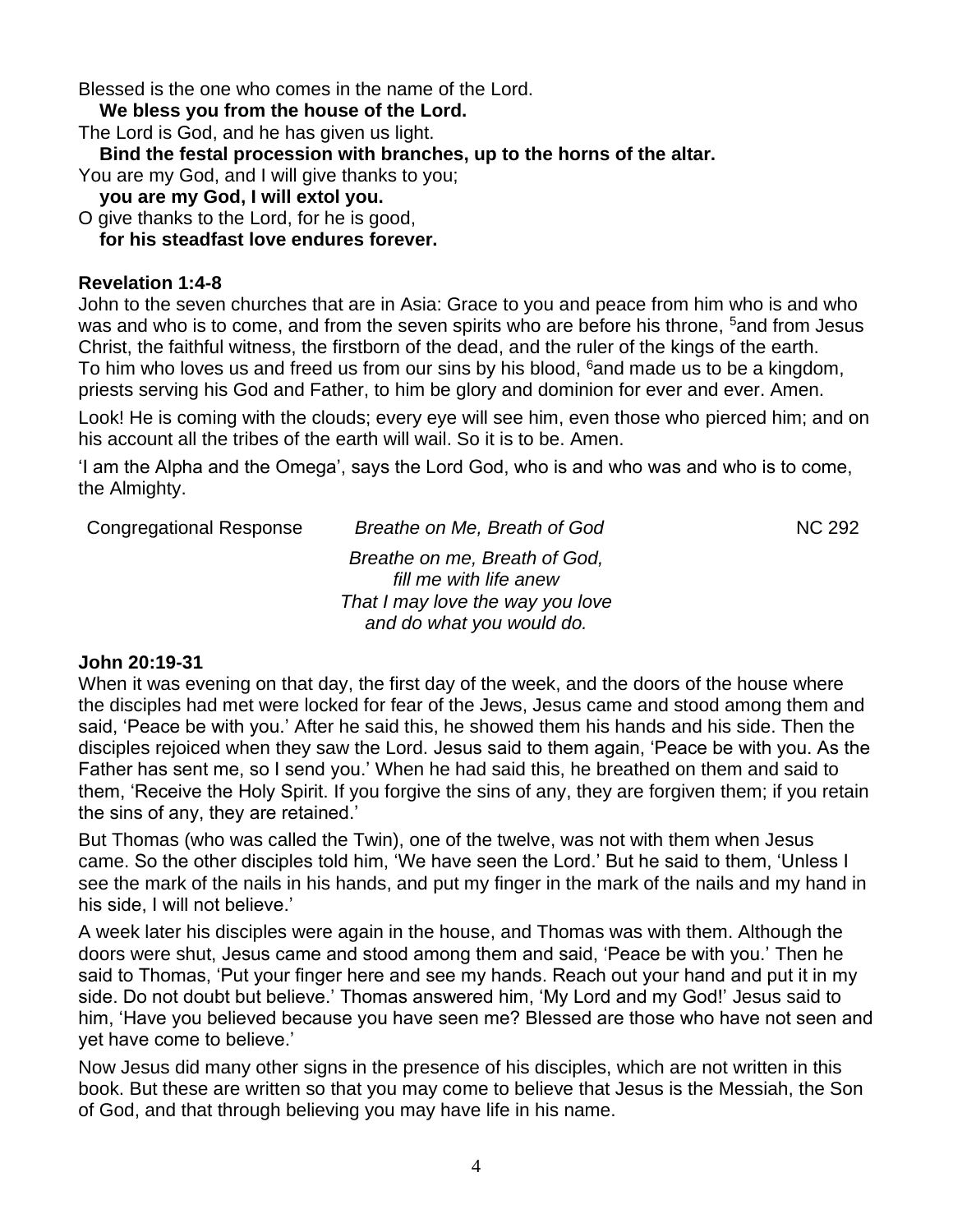Blessed is the one who comes in the name of the Lord.

**We bless you from the house of the Lord.**

The Lord is God, and he has given us light.

**Bind the festal procession with branches, up to the horns of the altar.**

You are my God, and I will give thanks to you;

**you are my God, I will extol you.**

O give thanks to the Lord, for he is good,

**for his steadfast love endures forever.**

# **Revelation 1:4-8**

John to the seven churches that are in Asia: Grace to you and peace from him who is and who was and who is to come, and from the seven spirits who are before his throne, <sup>5</sup>and from Jesus Christ, the faithful witness, the firstborn of the dead, and the ruler of the kings of the earth. To him who loves us and freed us from our sins by his blood, <sup>6</sup>and made us to be a kingdom, priests serving his God and Father, to him be glory and dominion for ever and ever. Amen.

Look! He is coming with the clouds; every eye will see him, even those who pierced him; and on his account all the tribes of the earth will wail. So it is to be. Amen.

'I am the Alpha and the Omega', says the Lord God, who is and who was and who is to come, the Almighty.

Congregational Response *Breathe on Me, Breath of God* NC 292

*Breathe on me, Breath of God, fill me with life anew That I may love the way you love and do what you would do.*

# **John 20:19-31**

When it was evening on that day, the first day of the week, and the doors of the house where the disciples had met were locked for fear of the Jews, Jesus came and stood among them and said, 'Peace be with you.' After he said this, he showed them his hands and his side. Then the disciples rejoiced when they saw the Lord. Jesus said to them again, 'Peace be with you. As the Father has sent me, so I send you.' When he had said this, he breathed on them and said to them, 'Receive the Holy Spirit. If you forgive the sins of any, they are forgiven them; if you retain the sins of any, they are retained.'

But Thomas (who was called the Twin), one of the twelve, was not with them when Jesus came. So the other disciples told him, 'We have seen the Lord.' But he said to them, 'Unless I see the mark of the nails in his hands, and put my finger in the mark of the nails and my hand in his side, I will not believe.'

A week later his disciples were again in the house, and Thomas was with them. Although the doors were shut, Jesus came and stood among them and said, 'Peace be with you.' Then he said to Thomas, 'Put your finger here and see my hands. Reach out your hand and put it in my side. Do not doubt but believe.' Thomas answered him, 'My Lord and my God!' Jesus said to him, 'Have you believed because you have seen me? Blessed are those who have not seen and yet have come to believe.'

Now Jesus did many other signs in the presence of his disciples, which are not written in this book. But these are written so that you may come to believe that Jesus is the Messiah, the Son of God, and that through believing you may have life in his name.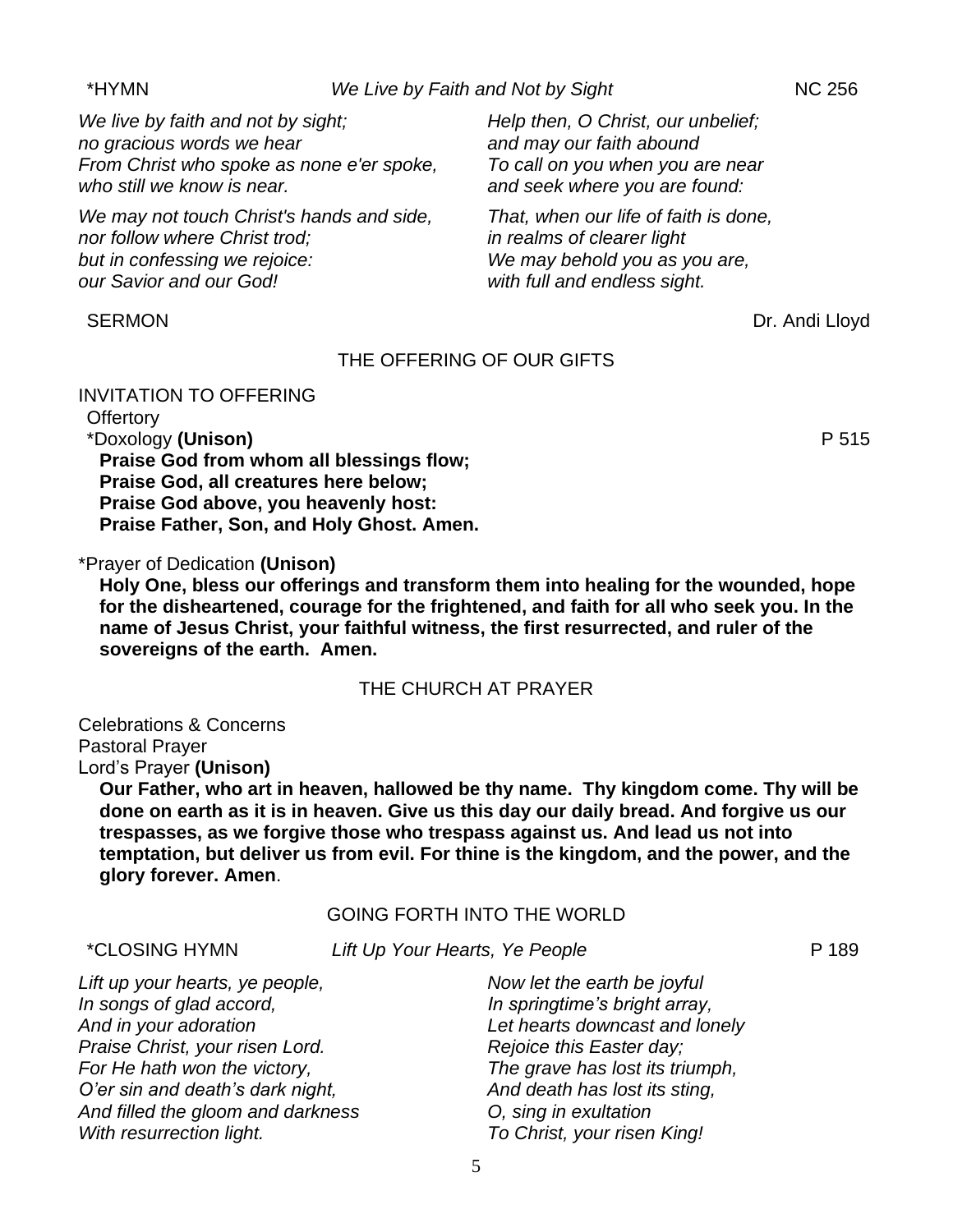\*HYMN *We Live by Faith and Not by Sight* NC 256

*We live by faith and not by sight; no gracious words we hear From Christ who spoke as none e'er spoke, who still we know is near.*

*We may not touch Christ's hands and side, nor follow where Christ trod; but in confessing we rejoice: our Savior and our God!*

### *Help then, O Christ, our unbelief; and may our faith abound To call on you when you are near and seek where you are found:*

*That, when our life of faith is done, in realms of clearer light We may behold you as you are, with full and endless sight.*

SERMON DESCRIPTION OF A SERMON DESCRIPTION OF A SERMON DESCRIPTION OF A SERMON

# THE OFFERING OF OUR GIFTS

INVITATION TO OFFERING **Offertory** \*Doxology **(Unison)** P 515 **Praise God from whom all blessings flow; Praise God, all creatures here below; Praise God above, you heavenly host: Praise Father, Son, and Holy Ghost. Amen.**

\*Prayer of Dedication **(Unison)**

**Holy One, bless our offerings and transform them into healing for the wounded, hope for the disheartened, courage for the frightened, and faith for all who seek you. In the name of Jesus Christ, your faithful witness, the first resurrected, and ruler of the sovereigns of the earth. Amen.**

# THE CHURCH AT PRAYER

Celebrations & Concerns Pastoral Prayer Lord's Prayer **(Unison)**

**Our Father, who art in heaven, hallowed be thy name. Thy kingdom come. Thy will be done on earth as it is in heaven. Give us this day our daily bread. And forgive us our trespasses, as we forgive those who trespass against us. And lead us not into temptation, but deliver us from evil. For thine is the kingdom, and the power, and the glory forever. Amen**.

# GOING FORTH INTO THE WORLD

\*CLOSING HYMN *Lift Up Your Hearts, Ye People* P 189

*Lift up your hearts, ye people, In songs of glad accord, And in your adoration Praise Christ, your risen Lord. For He hath won the victory, O'er sin and death's dark night, And filled the gloom and darkness With resurrection light.*

*In springtime's bright array, Let hearts downcast and lonely Rejoice this Easter day; The grave has lost its triumph, And death has lost its sting, O, sing in exultation To Christ, your risen King!*

*Now let the earth be joyful*